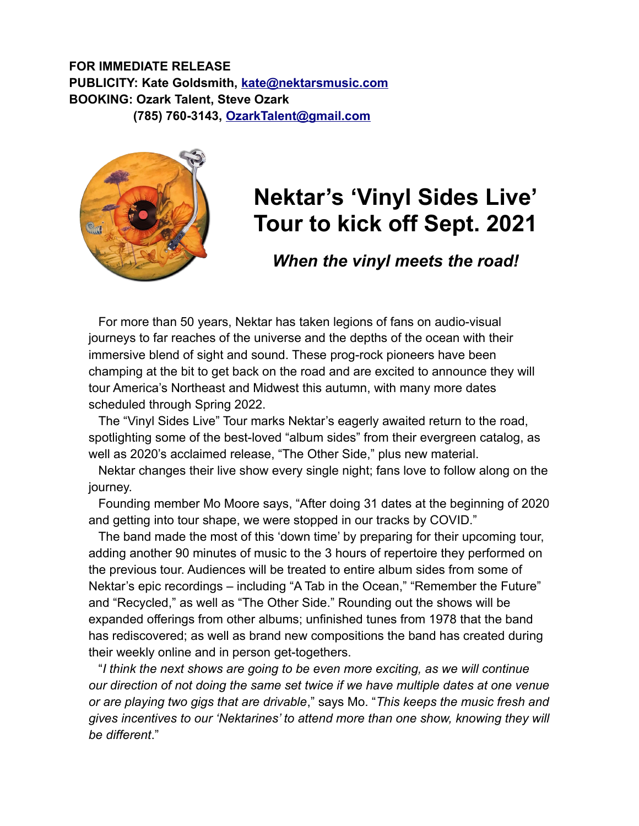## **FOR IMMEDIATE RELEASE PUBLICITY: Kate Goldsmith, [kate@nektarsmusic.com](mailto:kate@nektarsmusic.com) BOOKING: Ozark Talent, Steve Ozark (785) 760-3143, [OzarkTalent@gmail.com](mailto:OzarkTalent@gmail.com)**



## **Nektar's 'Vinyl Sides Live' Tour to kick off Sept. 2021**

*When the vinyl meets the road!*

For more than 50 years, Nektar has taken legions of fans on audio-visual journeys to far reaches of the universe and the depths of the ocean with their immersive blend of sight and sound. These prog-rock pioneers have been champing at the bit to get back on the road and are excited to announce they will tour America's Northeast and Midwest this autumn, with many more dates scheduled through Spring 2022.

The "Vinyl Sides Live" Tour marks Nektar's eagerly awaited return to the road, spotlighting some of the best-loved "album sides" from their evergreen catalog, as well as 2020's acclaimed release, "The Other Side," plus new material.

Nektar changes their live show every single night; fans love to follow along on the journey.

Founding member Mo Moore says, "After doing 31 dates at the beginning of 2020 and getting into tour shape, we were stopped in our tracks by COVID."

The band made the most of this 'down time' by preparing for their upcoming tour, adding another 90 minutes of music to the 3 hours of repertoire they performed on the previous tour. Audiences will be treated to entire album sides from some of Nektar's epic recordings – including "A Tab in the Ocean," "Remember the Future" and "Recycled," as well as "The Other Side." Rounding out the shows will be expanded offerings from other albums; unfinished tunes from 1978 that the band has rediscovered; as well as brand new compositions the band has created during their weekly online and in person get-togethers.

"*I think the next shows are going to be even more exciting, as we will continue our direction of not doing the same set twice if we have multiple dates at one venue or are playing two gigs that are drivable*," says Mo. "*This keeps the music fresh and gives incentives to our 'Nektarines' to attend more than one show, knowing they will be different*."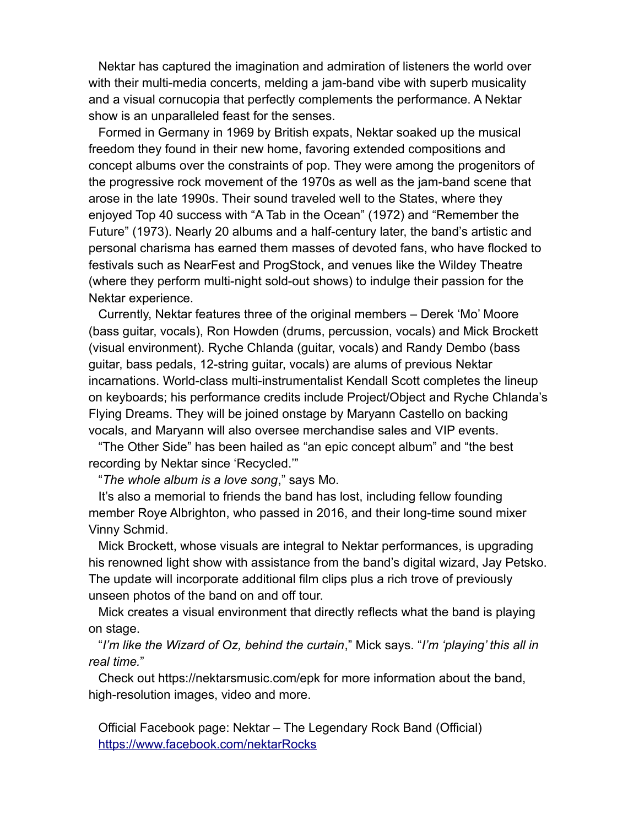Nektar has captured the imagination and admiration of listeners the world over with their multi-media concerts, melding a jam-band vibe with superb musicality and a visual cornucopia that perfectly complements the performance. A Nektar show is an unparalleled feast for the senses.

Formed in Germany in 1969 by British expats, Nektar soaked up the musical freedom they found in their new home, favoring extended compositions and concept albums over the constraints of pop. They were among the progenitors of the progressive rock movement of the 1970s as well as the jam-band scene that arose in the late 1990s. Their sound traveled well to the States, where they enjoyed Top 40 success with "A Tab in the Ocean" (1972) and "Remember the Future" (1973). Nearly 20 albums and a half-century later, the band's artistic and personal charisma has earned them masses of devoted fans, who have flocked to festivals such as NearFest and ProgStock, and venues like the Wildey Theatre (where they perform multi-night sold-out shows) to indulge their passion for the Nektar experience.

Currently, Nektar features three of the original members – Derek 'Mo' Moore (bass guitar, vocals), Ron Howden (drums, percussion, vocals) and Mick Brockett (visual environment). Ryche Chlanda (guitar, vocals) and Randy Dembo (bass guitar, bass pedals, 12-string guitar, vocals) are alums of previous Nektar incarnations. World-class multi-instrumentalist Kendall Scott completes the lineup on keyboards; his performance credits include Project/Object and Ryche Chlanda's Flying Dreams. They will be joined onstage by Maryann Castello on backing vocals, and Maryann will also oversee merchandise sales and VIP events.

"The Other Side" has been hailed as "an epic concept album" and "the best recording by Nektar since 'Recycled.'"

"*The whole album is a love song*," says Mo.

It's also a memorial to friends the band has lost, including fellow founding member Roye Albrighton, who passed in 2016, and their long-time sound mixer Vinny Schmid.

Mick Brockett, whose visuals are integral to Nektar performances, is upgrading his renowned light show with assistance from the band's digital wizard, Jay Petsko. The update will incorporate additional film clips plus a rich trove of previously unseen photos of the band on and off tour.

Mick creates a visual environment that directly reflects what the band is playing on stage.

"*I'm like the Wizard of Oz, behind the curtain*," Mick says. "*I'm 'playing' this all in real time.*"

Check out https://nektarsmusic.com/epk for more information about the band, high-resolution images, video and more.

Official Facebook page: Nektar – The Legendary Rock Band (Official) <https://www.facebook.com/nektarRocks>